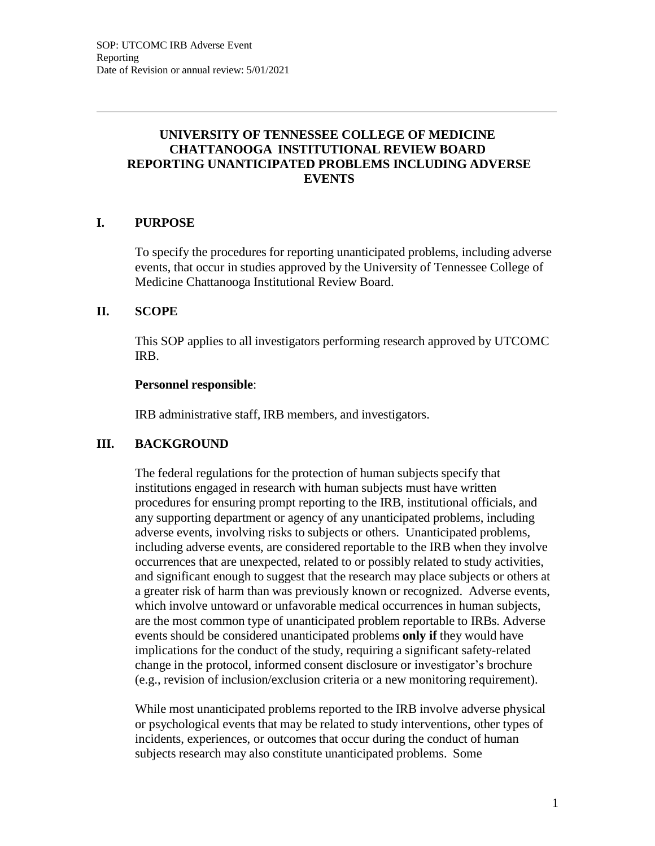# **UNIVERSITY OF TENNESSEE COLLEGE OF MEDICINE CHATTANOOGA INSTITUTIONAL REVIEW BOARD REPORTING UNANTICIPATED PROBLEMS INCLUDING ADVERSE EVENTS**

# **I. PURPOSE**

To specify the procedures for reporting unanticipated problems, including adverse events, that occur in studies approved by the University of Tennessee College of Medicine Chattanooga Institutional Review Board.

## **II. SCOPE**

This SOP applies to all investigators performing research approved by UTCOMC IRB.

#### **Personnel responsible**:

IRB administrative staff, IRB members, and investigators.

## **III. BACKGROUND**

The federal regulations for the protection of human subjects specify that institutions engaged in research with human subjects must have written procedures for ensuring prompt reporting to the IRB, institutional officials, and any supporting department or agency of any unanticipated problems, including adverse events, involving risks to subjects or others. Unanticipated problems, including adverse events, are considered reportable to the IRB when they involve occurrences that are unexpected, related to or possibly related to study activities, and significant enough to suggest that the research may place subjects or others at a greater risk of harm than was previously known or recognized. Adverse events, which involve untoward or unfavorable medical occurrences in human subjects, are the most common type of unanticipated problem reportable to IRBs. Adverse events should be considered unanticipated problems **only if** they would have implications for the conduct of the study, requiring a significant safety-related change in the protocol, informed consent disclosure or investigator's brochure (e.g., revision of inclusion/exclusion criteria or a new monitoring requirement).

While most unanticipated problems reported to the IRB involve adverse physical or psychological events that may be related to study interventions, other types of incidents, experiences, or outcomes that occur during the conduct of human subjects research may also constitute unanticipated problems. Some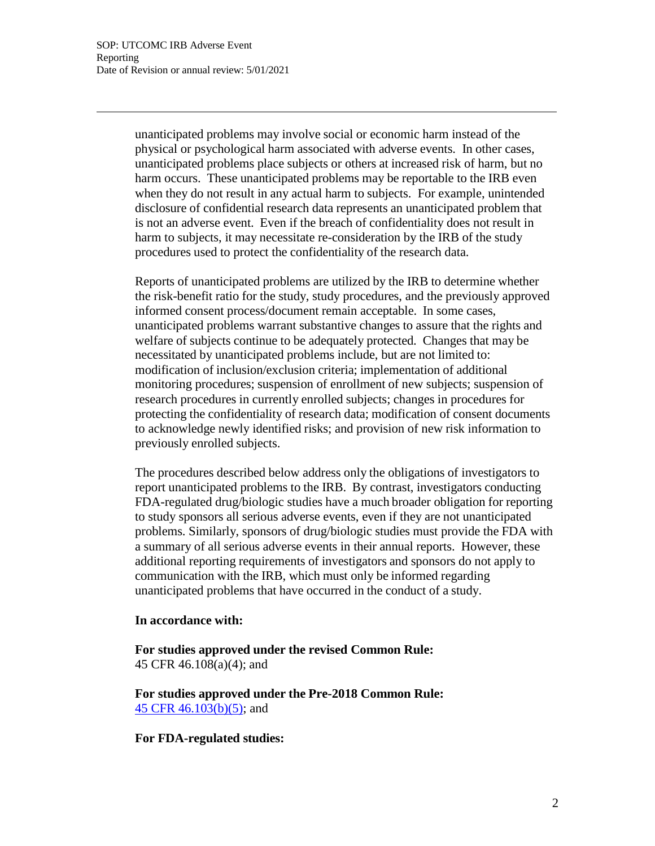unanticipated problems may involve social or economic harm instead of the physical or psychological harm associated with adverse events. In other cases, unanticipated problems place subjects or others at increased risk of harm, but no harm occurs. These unanticipated problems may be reportable to the IRB even when they do not result in any actual harm to subjects. For example, unintended disclosure of confidential research data represents an unanticipated problem that is not an adverse event. Even if the breach of confidentiality does not result in harm to subjects, it may necessitate re-consideration by the IRB of the study procedures used to protect the confidentiality of the research data.

Reports of unanticipated problems are utilized by the IRB to determine whether the risk-benefit ratio for the study, study procedures, and the previously approved informed consent process/document remain acceptable. In some cases, unanticipated problems warrant substantive changes to assure that the rights and welfare of subjects continue to be adequately protected. Changes that may be necessitated by unanticipated problems include, but are not limited to: modification of inclusion/exclusion criteria; implementation of additional monitoring procedures; suspension of enrollment of new subjects; suspension of research procedures in currently enrolled subjects; changes in procedures for protecting the confidentiality of research data; modification of consent documents to acknowledge newly identified risks; and provision of new risk information to previously enrolled subjects.

The procedures described below address only the obligations of investigators to report unanticipated problems to the IRB. By contrast, investigators conducting FDA-regulated drug/biologic studies have a much broader obligation for reporting to study sponsors all serious adverse events, even if they are not unanticipated problems. Similarly, sponsors of drug/biologic studies must provide the FDA with a summary of all serious adverse events in their annual reports. However, these additional reporting requirements of investigators and sponsors do not apply to communication with the IRB, which must only be informed regarding unanticipated problems that have occurred in the conduct of a study.

#### **In accordance with:**

**For studies approved under the revised Common Rule:** 45 CFR 46.108(a)(4); and

**For studies approved under the Pre-2018 Common Rule:** 45 CFR 46.103(b)(5); and

**For FDA-regulated studies:**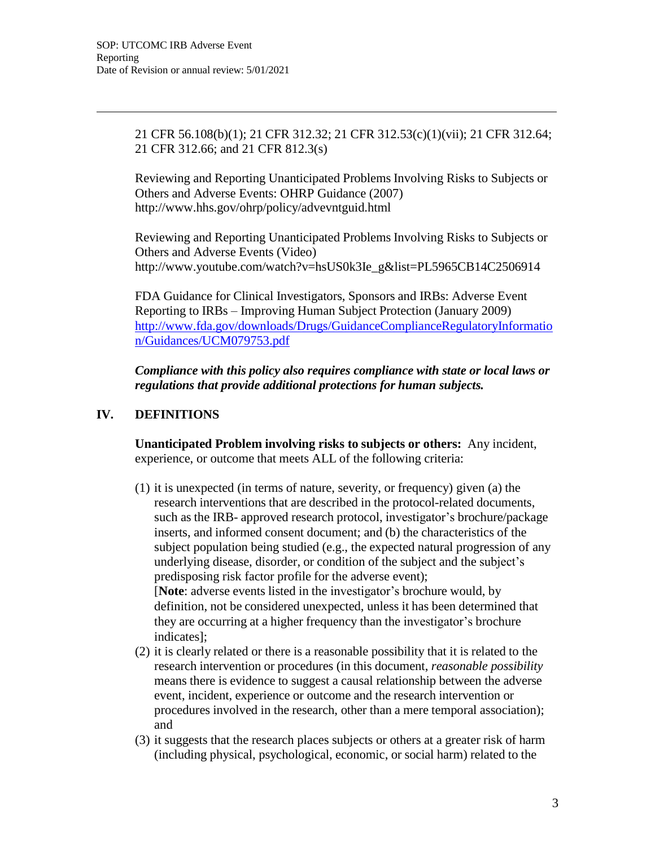21 CFR 56.108(b)(1); 21 CFR 312.32; 21 CFR 312.53(c)(1)(vii); 21 CFR 312.64; 21 CFR 312.66; and 21 CFR 812.3(s)

Reviewing and Reporting Unanticipated Problems Involving Risks to Subjects or Others and Adverse Events: OHRP Guidance (2007) <http://www.hhs.gov/ohrp/policy/advevntguid.html>

Reviewing and Reporting Unanticipated Problems Involving Risks to Subjects or Others and Adverse Events (Video) [http://www.youtube.com/watch?v=hsUS0k3Ie\\_g&list=PL5965CB14C2506914](http://www.youtube.com/watch?v=hsUS0k3Ie_g&list=PL5965CB14C2506914)

FDA Guidance for Clinical Investigators, Sponsors and IRBs: Adverse Event Reporting to IRBs – Improving Human Subject Protection (January 2009) <http://www.fda.gov/downloads/Drugs/GuidanceComplianceRegulatoryInformatio> n/Guidances/UCM079753.pdf

*Compliance with this policy also requires compliance with state or local laws or regulations that provide additional protections for human subjects.*

# **IV. DEFINITIONS**

**Unanticipated Problem involving risks to subjects or others:** Any incident, experience, or outcome that meets ALL of the following criteria:

- (1) it is unexpected (in terms of nature, severity, or frequency) given (a) the research interventions that are described in the protocol-related documents, such as the IRB- approved research protocol, investigator's brochure/package inserts, and informed consent document; and (b) the characteristics of the subject population being studied (e.g., the expected natural progression of any underlying disease, disorder, or condition of the subject and the subject's predisposing risk factor profile for the adverse event); [**Note**: adverse events listed in the investigator's brochure would, by definition, not be considered unexpected, unless it has been determined that they are occurring at a higher frequency than the investigator's brochure indicates];
- (2) it is clearly related or there is a reasonable possibility that it is related to the research intervention or procedures (in this document, *reasonable possibility* means there is evidence to suggest a causal relationship between the adverse event, incident, experience or outcome and the research intervention or procedures involved in the research, other than a mere temporal association); and
- (3) it suggests that the research places subjects or others at a greater risk of harm (including physical, psychological, economic, or social harm) related to the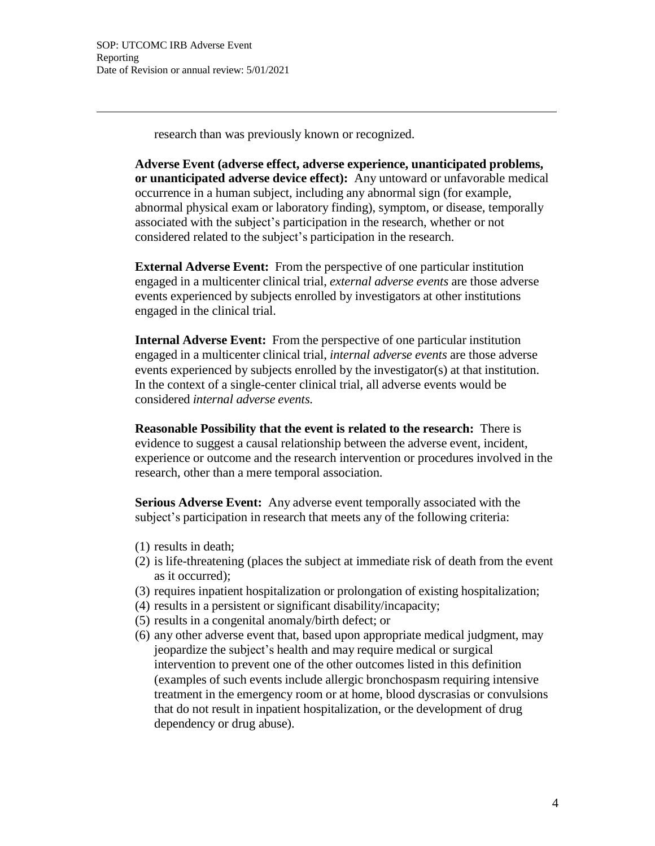research than was previously known or recognized.

**Adverse Event (adverse effect, adverse experience, unanticipated problems, or unanticipated adverse device effect):** Any untoward or unfavorable medical occurrence in a human subject, including any abnormal sign (for example, abnormal physical exam or laboratory finding), symptom, or disease, temporally associated with the subject's participation in the research, whether or not considered related to the subject's participation in the research.

**External Adverse Event:** From the perspective of one particular institution engaged in a multicenter clinical trial, *external adverse events* are those adverse events experienced by subjects enrolled by investigators at other institutions engaged in the clinical trial.

**Internal Adverse Event:** From the perspective of one particular institution engaged in a multicenter clinical trial, *internal adverse events* are those adverse events experienced by subjects enrolled by the investigator(s) at that institution. In the context of a single-center clinical trial, all adverse events would be considered *internal adverse events.*

**Reasonable Possibility that the event is related to the research:** There is evidence to suggest a causal relationship between the adverse event, incident, experience or outcome and the research intervention or procedures involved in the research, other than a mere temporal association.

**Serious Adverse Event:** Any adverse event temporally associated with the subject's participation in research that meets any of the following criteria:

- (1) results in death;
- (2) is life-threatening (places the subject at immediate risk of death from the event as it occurred);
- (3) requires inpatient hospitalization or prolongation of existing hospitalization;
- (4) results in a persistent or significant disability/incapacity;
- (5) results in a congenital anomaly/birth defect; or
- (6) any other adverse event that, based upon appropriate medical judgment, may jeopardize the subject's health and may require medical or surgical intervention to prevent one of the other outcomes listed in this definition (examples of such events include allergic bronchospasm requiring intensive treatment in the emergency room or at home, blood dyscrasias or convulsions that do not result in inpatient hospitalization, or the development of drug dependency or drug abuse).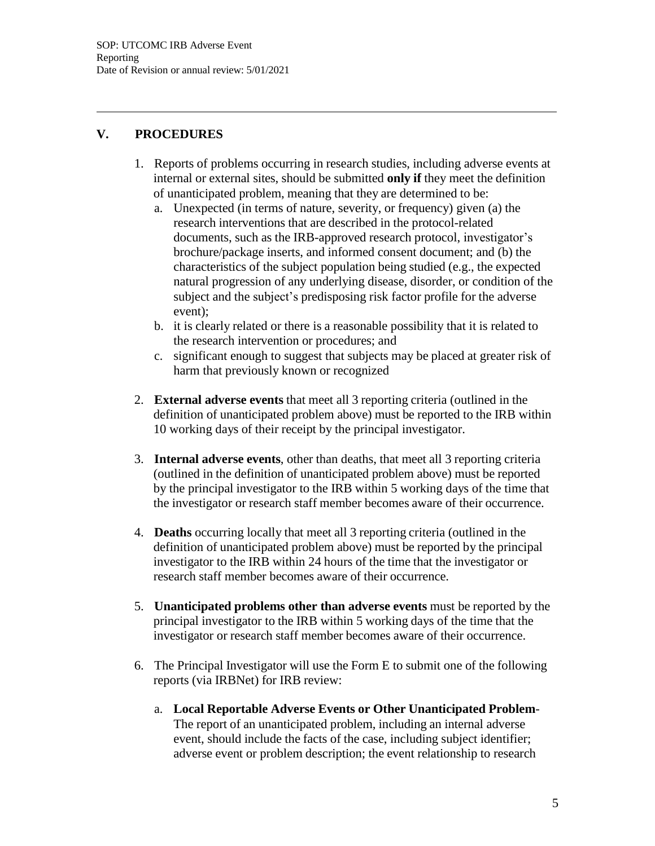# **V. PROCEDURES**

- 1. Reports of problems occurring in research studies, including adverse events at internal or external sites, should be submitted **only if** they meet the definition of unanticipated problem, meaning that they are determined to be:
	- a. Unexpected (in terms of nature, severity, or frequency) given (a) the research interventions that are described in the protocol-related documents, such as the IRB-approved research protocol, investigator's brochure/package inserts, and informed consent document; and (b) the characteristics of the subject population being studied (e.g., the expected natural progression of any underlying disease, disorder, or condition of the subject and the subject's predisposing risk factor profile for the adverse event);
	- b. it is clearly related or there is a reasonable possibility that it is related to the research intervention or procedures; and
	- c. significant enough to suggest that subjects may be placed at greater risk of harm that previously known or recognized
- 2. **External adverse events** that meet all 3 reporting criteria (outlined in the definition of unanticipated problem above) must be reported to the IRB within 10 working days of their receipt by the principal investigator.
- 3. **Internal adverse events**, other than deaths, that meet all 3 reporting criteria (outlined in the definition of unanticipated problem above) must be reported by the principal investigator to the IRB within 5 working days of the time that the investigator or research staff member becomes aware of their occurrence.
- 4. **Deaths** occurring locally that meet all 3 reporting criteria (outlined in the definition of unanticipated problem above) must be reported by the principal investigator to the IRB within 24 hours of the time that the investigator or research staff member becomes aware of their occurrence.
- 5. **Unanticipated problems other than adverse events** must be reported by the principal investigator to the IRB within 5 working days of the time that the investigator or research staff member becomes aware of their occurrence.
- 6. The Principal Investigator will use the Form E to submit one of the following reports (via IRBNet) for IRB review:
	- a. **Local Reportable Adverse Events or Other Unanticipated Problem**-The report of an unanticipated problem, including an internal adverse event, should include the facts of the case, including subject identifier; adverse event or problem description; the event relationship to research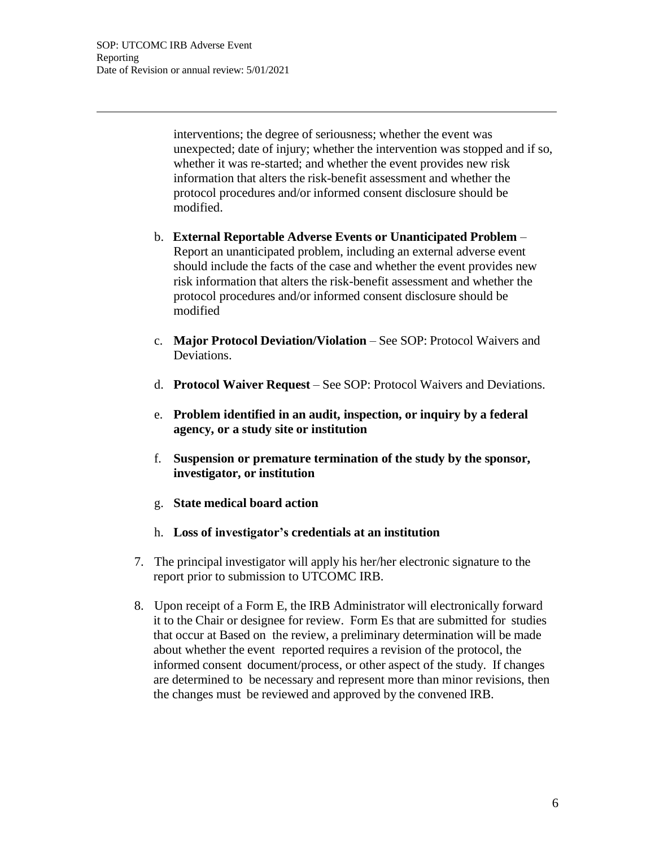interventions; the degree of seriousness; whether the event was unexpected; date of injury; whether the intervention was stopped and if so, whether it was re-started; and whether the event provides new risk information that alters the risk-benefit assessment and whether the protocol procedures and/or informed consent disclosure should be modified.

- b. **External Reportable Adverse Events or Unanticipated Problem** Report an unanticipated problem, including an external adverse event should include the facts of the case and whether the event provides new risk information that alters the risk-benefit assessment and whether the protocol procedures and/or informed consent disclosure should be modified
- c. **Major Protocol Deviation/Violation** See SOP: Protocol Waivers and Deviations.
- d. **Protocol Waiver Request** See SOP: Protocol Waivers and Deviations.
- e. **Problem identified in an audit, inspection, or inquiry by a federal agency, or a study site or institution**
- f. **Suspension or premature termination of the study by the sponsor, investigator, or institution**
- g. **State medical board action**
- h. **Loss of investigator's credentials at an institution**
- 7. The principal investigator will apply his her/her electronic signature to the report prior to submission to UTCOMC IRB.
- 8. Upon receipt of a Form E, the IRB Administrator will electronically forward it to the Chair or designee for review. Form Es that are submitted for studies that occur at Based on the review, a preliminary determination will be made about whether the event reported requires a revision of the protocol, the informed consent document/process, or other aspect of the study. If changes are determined to be necessary and represent more than minor revisions, then the changes must be reviewed and approved by the convened IRB.